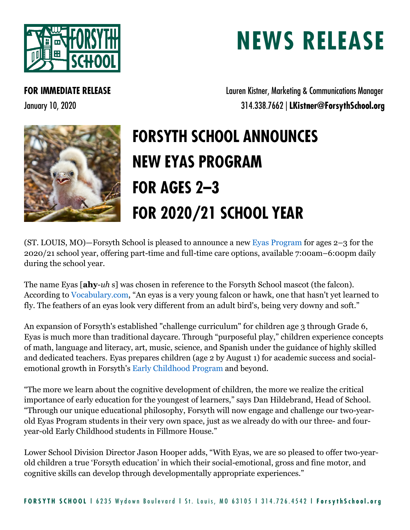

## **NEWS RELEASE**

**FOR IMMEDIATE RELEASE Lauren Kistner, Marketing & Communications Manager** January 10, 2020 314.338.7662 | **LKistner@ForsythSchool.org**



## **FORSYTH SCHOOL ANNOUNCES NEW EYAS PROGRAM FOR AGES 2–3 FOR 2020/21 SCHOOL YEAR**

(ST. LOUIS, MO)—Forsyth School is pleased to announce a new [Eyas Program](https://www.forsythschool.org/admission/eyas-program) for ages 2–3 for the 2020/21 school year, offering part-time and full-time care options, available 7:00am–6:00pm daily during the school year.

The name Eyas [**ahy**-*uh* s] was chosen in reference to the Forsyth School mascot (the falcon). According to [Vocabulary.com,](https://www.vocabulary.com/dictionary/eyas) "An eyas is a very young falcon or hawk, one that hasn't yet learned to fly. The feathers of an eyas look very different from an adult bird's, being very downy and soft."

An expansion of Forsyth's established "challenge curriculum" for children age 3 through Grade 6, Eyas is much more than traditional daycare. Through "purposeful play," children experience concepts of math, language and literacy, art, music, science, and Spanish under the guidance of highly skilled and dedicated teachers. Eyas prepares children (age 2 by August 1) for academic success and socialemotional growth in Forsyth's [Early Childhood Program](https://www.forsythschool.org/admission/early-childhood) and beyond.

"The more we learn about the cognitive development of children, the more we realize the critical importance of early education for the youngest of learners," says Dan Hildebrand, Head of School. "Through our unique educational philosophy, Forsyth will now engage and challenge our two-yearold Eyas Program students in their very own space, just as we already do with our three- and fouryear-old Early Childhood students in Fillmore House."

Lower School Division Director Jason Hooper adds, "With Eyas, we are so pleased to offer two-yearold children a true 'Forsyth education' in which their social-emotional, gross and fine motor, and cognitive skills can develop through developmentally appropriate experiences."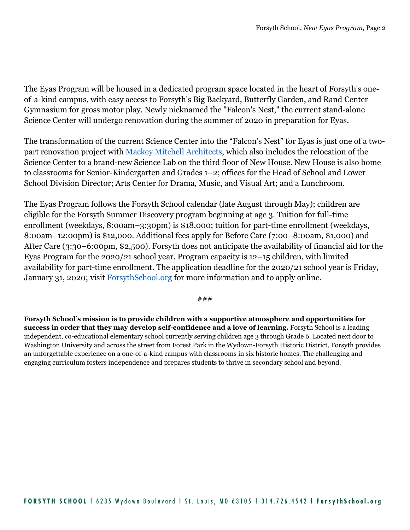The Eyas Program will be housed in a dedicated program space located in the heart of Forsyth's oneof-a-kind campus, with easy access to Forsyth's Big Backyard, Butterfly Garden, and Rand Center Gymnasium for gross motor play. Newly nicknamed the "Falcon's Nest," the current stand-alone Science Center will undergo renovation during the summer of 2020 in preparation for Eyas.

The transformation of the current Science Center into the "Falcon's Nest" for Eyas is just one of a twopart renovation project with [Mackey Mitchell Architects,](http://www.mackeymitchell.com/) which also includes the relocation of the Science Center to a brand-new Science Lab on the third floor of New House. New House is also home to classrooms for Senior-Kindergarten and Grades 1–2; offices for the Head of School and Lower School Division Director; Arts Center for Drama, Music, and Visual Art; and a Lunchroom.

The Eyas Program follows the Forsyth School calendar (late August through May); children are eligible for the Forsyth Summer Discovery program beginning at age 3. Tuition for full-time enrollment (weekdays, 8:00am–3:30pm) is \$18,000; tuition for part-time enrollment (weekdays, 8:00am–12:00pm) is \$12,000. Additional fees apply for Before Care (7:00–8:00am, \$1,000) and After Care (3:30–6:00pm, \$2,500). Forsyth does not anticipate the availability of financial aid for the Eyas Program for the 2020/21 school year. Program capacity is 12–15 children, with limited availability for part-time enrollment. The application deadline for the 2020/21 school year is Friday, January 31, 2020; visit [ForsythSchool.org](https://www.forsythschool.org/) for more information and to apply online.

###

**Forsyth School's mission is to provide children with a supportive atmosphere and opportunities for success in order that they may develop self-confidence and a love of learning.** Forsyth School is a leading independent, co-educational elementary school currently serving children age 3 through Grade 6. Located next door to Washington University and across the street from Forest Park in the Wydown-Forsyth Historic District, Forsyth provides an unforgettable experience on a one-of-a-kind campus with classrooms in six historic homes. The challenging and engaging curriculum fosters independence and prepares students to thrive in secondary school and beyond.